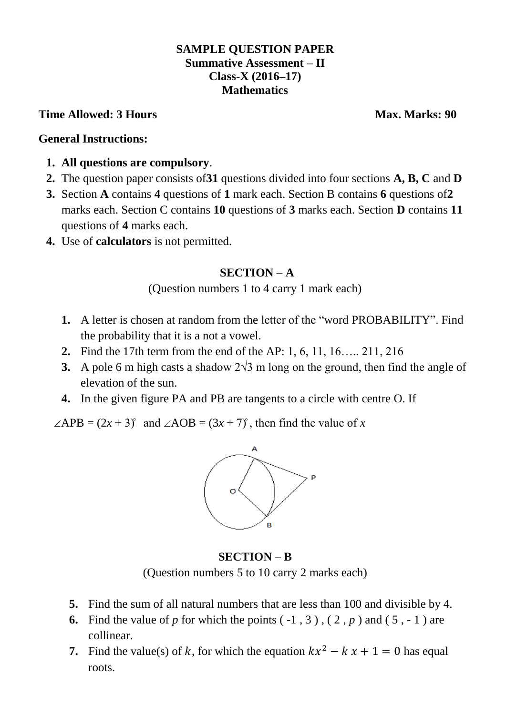#### **SAMPLE QUESTION PAPER Summative Assessment – II Class-X (2016–17) Mathematics**

#### **Time Allowed: 3 Hours Max. Marks: 90**

#### **General Instructions:**

- **1. All questions are compulsory**.
- **2.** The question paper consists of**31** questions divided into four sections **A, B, C** and **D**
- **3.** Section **A** contains **4** questions of **1** mark each. Section B contains **6** questions of**2**  marks each. Section C contains **10** questions of **3** marks each. Section **D** contains **11** questions of **4** marks each.
- **4.** Use of **calculators** is not permitted.

### **SECTION – A**

(Question numbers 1 to 4 carry 1 mark each)

- **1.** A letter is chosen at random from the letter of the "word PROBABILITY". Find the probability that it is a not a vowel.
- **2.** Find the 17th term from the end of the AP: 1, 6, 11, 16….. 211, 216
- **3.** A pole 6 m high casts a shadow 2√3 m long on the ground, then find the angle of elevation of the sun.
- **4.** In the given figure PA and PB are tangents to a circle with centre O. If

 $\angle APB = (2x + 3)$  and  $\angle AOB = (3x + 7)$ , then find the value of x



**SECTION – B** (Question numbers 5 to 10 carry 2 marks each)

- **5.** Find the sum of all natural numbers that are less than 100 and divisible by 4.
- **6.** Find the value of *p* for which the points  $(-1, 3)$ ,  $(2, p)$  and  $(5, -1)$  are collinear.
- **7.** Find the value(s) of k, for which the equation  $kx^2 kx + 1 = 0$  has equal roots.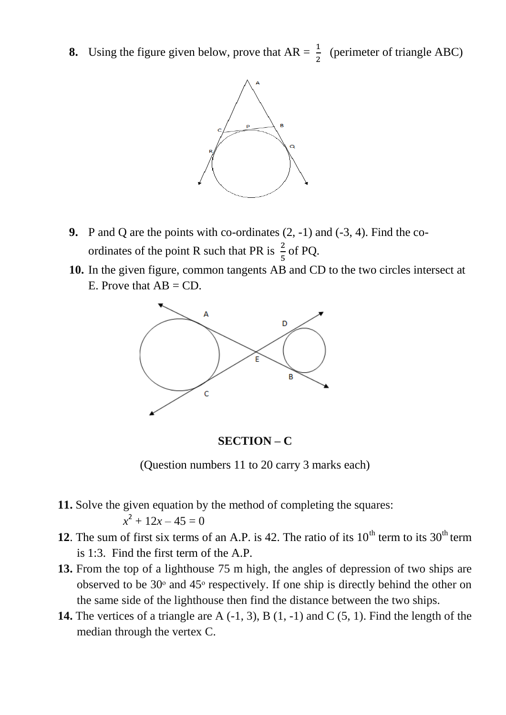**8.** Using the figure given below, prove that  $AR = \frac{1}{2}$  (perimeter of triangle ABC)



- **9.** P and Q are the points with co-ordinates (2, -1) and (-3, 4). Find the coordinates of the point R such that PR is  $\frac{2}{5}$  of PQ.
- **10.** In the given figure, common tangents AB and CD to the two circles intersect at E. Prove that  $AB = CD$ .



**SECTION – C**

(Question numbers 11 to 20 carry 3 marks each)

- **11.** Solve the given equation by the method of completing the squares:  $x^2 + 12x - 45 = 0$
- **12**. The sum of first six terms of an A.P. is 42. The ratio of its  $10<sup>th</sup>$  term to its  $30<sup>th</sup>$  term is 1:3. Find the first term of the A.P.
- **13.** From the top of a lighthouse 75 m high, the angles of depression of two ships are observed to be  $30<sup>°</sup>$  and  $45<sup>°</sup>$  respectively. If one ship is directly behind the other on the same side of the lighthouse then find the distance between the two ships.
- **14.** The vertices of a triangle are A (-1, 3), B (1, -1) and C (5, 1). Find the length of the median through the vertex C.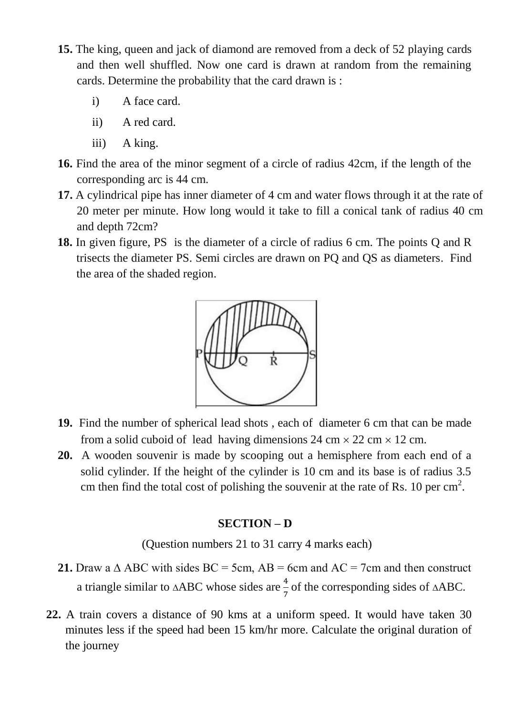- **15.** The king, queen and jack of diamond are removed from a deck of 52 playing cards and then well shuffled. Now one card is drawn at random from the remaining cards. Determine the probability that the card drawn is :
	- i) A face card.
	- ii) A red card.
	- iii) A king.
- **16.** Find the area of the minor segment of a circle of radius 42cm, if the length of the corresponding arc is 44 cm.
- **17.** A cylindrical pipe has inner diameter of 4 cm and water flows through it at the rate of 20 meter per minute. How long would it take to fill a conical tank of radius 40 cm and depth 72cm?
- **18.** In given figure, PS is the diameter of a circle of radius 6 cm. The points Q and R trisects the diameter PS. Semi circles are drawn on PQ and QS as diameters. Find the area of the shaded region.



- **19.** Find the number of spherical lead shots , each of diameter 6 cm that can be made from a solid cuboid of lead having dimensions 24 cm  $\times$  22 cm  $\times$  12 cm.
- **20.** A wooden souvenir is made by scooping out a hemisphere from each end of a solid cylinder. If the height of the cylinder is 10 cm and its base is of radius 3.5 cm then find the total cost of polishing the souvenir at the rate of Rs. 10 per  $\text{cm}^2$ .

#### **SECTION – D**

(Question numbers 21 to 31 carry 4 marks each)

- **21.** Draw a  $\triangle$  ABC with sides BC = 5cm, AB = 6cm and AC = 7cm and then construct a triangle similar to  $\triangle ABC$  whose sides are  $\frac{4}{7}$  of the corresponding sides of  $\triangle ABC$ .
- **22.** A train covers a distance of 90 kms at a uniform speed. It would have taken 30 minutes less if the speed had been 15 km/hr more. Calculate the original duration of the journey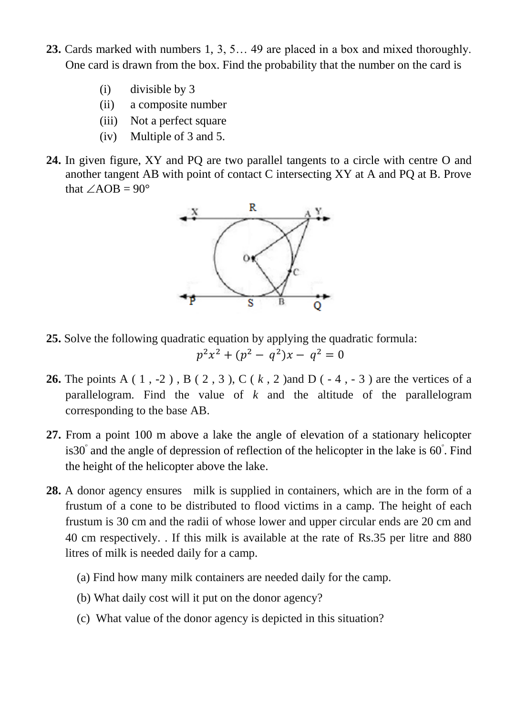- **23.** Cards marked with numbers 1, 3, 5… 49 are placed in a box and mixed thoroughly. One card is drawn from the box. Find the probability that the number on the card is
	- (i) divisible by 3
	- (ii) a composite number
	- (iii) Not a perfect square
	- (iv) Multiple of 3 and 5.
- **24.** In given figure, XY and PQ are two parallel tangents to a circle with centre O and another tangent AB with point of contact C intersecting XY at A and PQ at B. Prove that  $\angle AOB = 90^\circ$



**25.** Solve the following quadratic equation by applying the quadratic formula:

$$
p^2x^2 + (p^2 - q^2)x - q^2 = 0
$$

- **26.** The points A ( 1 , -2 ) , B ( 2 , 3 ), C ( *k* , 2 )and D ( 4 , 3 ) are the vertices of a parallelogram. Find the value of *k* and the altitude of the parallelogram corresponding to the base AB.
- **27.** From a point 100 m above a lake the angle of elevation of a stationary helicopter is30° and the angle of depression of reflection of the helicopter in the lake is 60°. Find the height of the helicopter above the lake.
- **28.** A donor agency ensures milk is supplied in containers, which are in the form of a frustum of a cone to be distributed to flood victims in a camp. The height of each frustum is 30 cm and the radii of whose lower and upper circular ends are 20 cm and 40 cm respectively. . If this milk is available at the rate of Rs.35 per litre and 880 litres of milk is needed daily for a camp.
	- (a) Find how many milk containers are needed daily for the camp.
	- (b) What daily cost will it put on the donor agency?
	- (c) What value of the donor agency is depicted in this situation?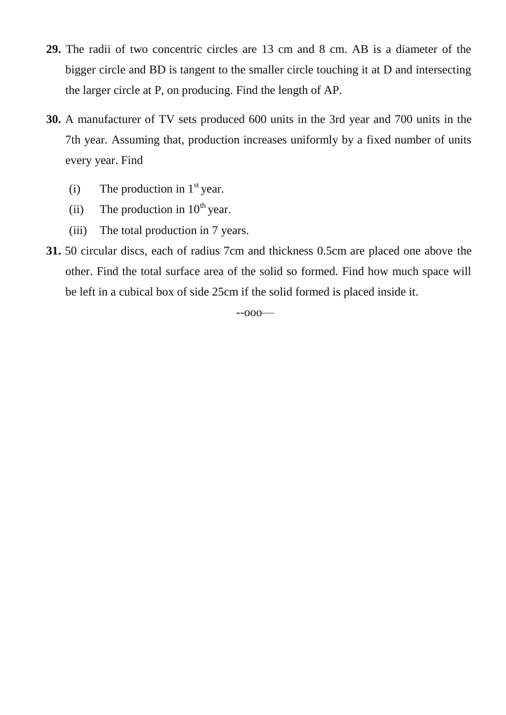- **29.** The radii of two concentric circles are 13 cm and 8 cm. AB is a diameter of the bigger circle and BD is tangent to the smaller circle touching it at D and intersecting the larger circle at P, on producing. Find the length of AP.
- **30.** A manufacturer of TV sets produced 600 units in the 3rd year and 700 units in the 7th year. Assuming that, production increases uniformly by a fixed number of units every year. Find
	- (i) The production in  $1<sup>st</sup>$  year.
	- (ii) The production in  $10^{th}$  year.
	- (iii) The total production in 7 years.
- **31.** 50 circular discs, each of radius 7cm and thickness 0.5cm are placed one above the other. Find the total surface area of the solid so formed. Find how much space will be left in a cubical box of side 25cm if the solid formed is placed inside it.

--ooo—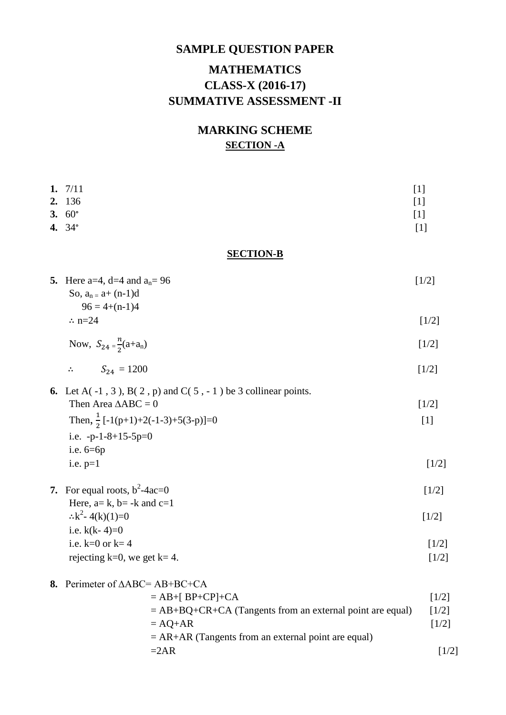# **SAMPLE QUESTION PAPER MATHEMATICS CLASS-X (2016-17) SUMMATIVE ASSESSMENT -II**

## **MARKING SCHEME SECTION -A**

| 1. $7/11$                                                                     | $[1]$               |
|-------------------------------------------------------------------------------|---------------------|
| 2. 136                                                                        | $[1]$               |
| 3. $60^{\circ}$                                                               | $[1]$               |
| 4. 34°                                                                        | $[1]$               |
| <b>SECTION-B</b>                                                              |                     |
| 5. Here a=4, d=4 and $a_n = 96$<br>So, $a_n = a + (n-1)d$<br>$96 = 4+(n-1)4$  | $[1/2]$             |
| $\therefore$ n=24                                                             | $[1/2]$             |
| Now, $S_{24} = \frac{n}{2}(a+a_n)$                                            | $[1/2]$             |
| $S_{24} = 1200$<br>$\ddot{\cdot}$                                             | $[1/2]$             |
| <b>6.</b> Let A $(-1, 3)$ , B $(2, p)$ and C $(5, -1)$ be 3 collinear points. |                     |
| Then Area $\triangle ABC = 0$                                                 | $[1/2]$             |
| Then, $\frac{1}{2}$ [-1(p+1)+2(-1-3)+5(3-p)]=0                                | $[1]$               |
| i.e. $-p-1-8+15-5p=0$                                                         |                     |
| i.e. $6=6p$                                                                   |                     |
| i.e. $p=1$                                                                    | $\lceil 1/2 \rceil$ |
|                                                                               |                     |

**7.** For equal roots,  $b^2$ -4ac=0  $-4ac=0$  [1/2] Here,  $a= k$ ,  $b= -k$  and  $c=1$  $\therefore k^2 - 4(k)(1) = 0$  [1/2] i.e.  $k(k-4)=0$ i.e.  $k=0$  or  $k=4$  [1/2] rejecting k=0, we get k= 4.  $[1/2]$ 

| 8. Perimeter of $\triangle ABC = AB + BC + CA$              |                     |
|-------------------------------------------------------------|---------------------|
| $=$ AB+[ BP+CP]+CA                                          | [1/2]               |
| $=$ AB+BQ+CR+CA (Tangents from an external point are equal) | $\lceil 1/2 \rceil$ |
| $= AQ+AR$                                                   | $\lceil 1/2 \rceil$ |
| $= AR+AR$ (Tangents from an external point are equal)       |                     |
| $=2AR$                                                      | $\lceil 1/2 \rceil$ |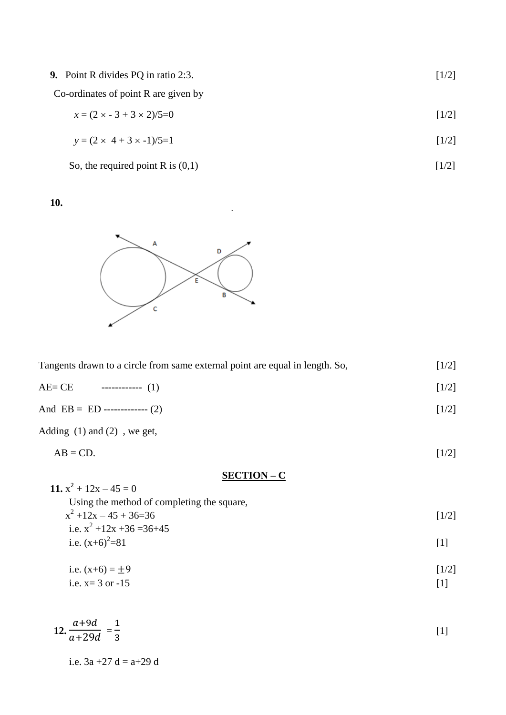**9.** Point R divides PQ in ratio 2:3. [1/2]

Co-ordinates of point R are given by

 $x = (2 \times -3 + 3 \times 2)/5 = 0$  [1/2]

$$
y = (2 \times 4 + 3 \times -1)/5 = 1
$$
 [1/2]

So, the required point R is  $(0,1)$  [1/2]

**10.**



| Tangents drawn to a circle from same external point are equal in length. So, |                   |       |
|------------------------------------------------------------------------------|-------------------|-------|
| AE= CE                                                                       | ------------- (1) | [1/2] |

And  $EB = ED$  ------------ (2) [1/2]

Adding (1) and (2) , we get,

 $AB = CD.$  [1/2]

**SECTION – C**

**11.**  $x^2 + 12x - 45 = 0$ Using the method of completing the square,  $x^2 + 12x - 45 + 36 = 36$  [1/2] i.e.  $x^2 + 12x + 36 = 36 + 45$ i.e.  $(x+6)^2=81$  $=81$  [1]

i.e. 
$$
(x+6) = \pm 9
$$
 [1/2]  
i.e.  $x = 3$  or -15 [1]

$$
12. \frac{a+9d}{a+29d} = \frac{1}{3}
$$
 [1]

i.e.  $3a + 27 d = a + 29 d$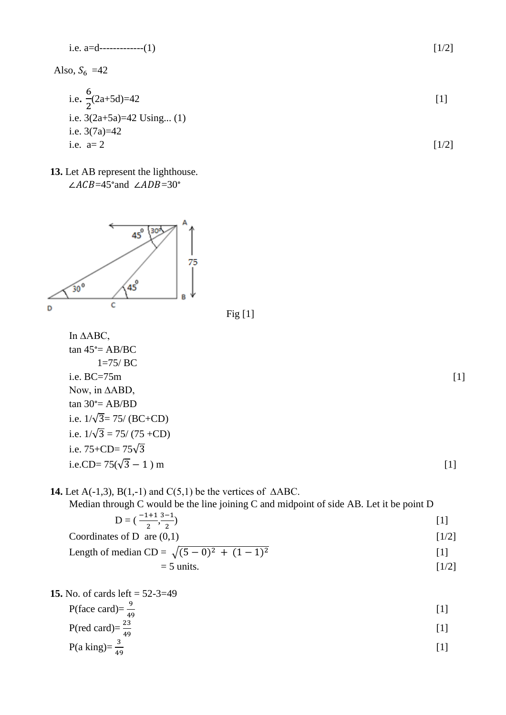i.e. 
$$
a=d
$$
-----(1) [1/2]

Also,  $S_6$  =42

i.e. 
$$
\frac{6}{2}(2a+5d)=42
$$
 [1]

i.e. 
$$
3(2a+5a)=42
$$
 Using... (1)  
i.e.  $3(7a)=42$   
i.e.  $a=2$  [1/2]

**13.** Let AB represent the lighthouse.  $\angle ACB = 45^{\circ}$  and  $\angle ADB = 30^{\circ}$ 



**14.** Let A(-1,3), B(1,-1) and C(5,1) be the vertices of  $\triangle ABC$ .

Median through C would be the line joining C and midpoint of side AB. Let it be point D

$$
D = \left(\frac{-1+1}{2}, \frac{3-1}{2}\right) \tag{1}
$$

$$
Coordinates of D are (0,1)
$$
 [1/2]

Length of median CD = 
$$
\sqrt{(5-0)^2 + (1-1)^2}
$$
 [1]

$$
= 5 \text{ units.} \tag{1/2}
$$

**15.** No. of cards left = 
$$
52-3=49
$$

$$
P(\text{face card}) = \frac{9}{49} \tag{1}
$$

$$
P(\text{red card}) = \frac{23}{49} \tag{1}
$$

$$
P(a \text{ king}) = \frac{3}{49} \tag{1}
$$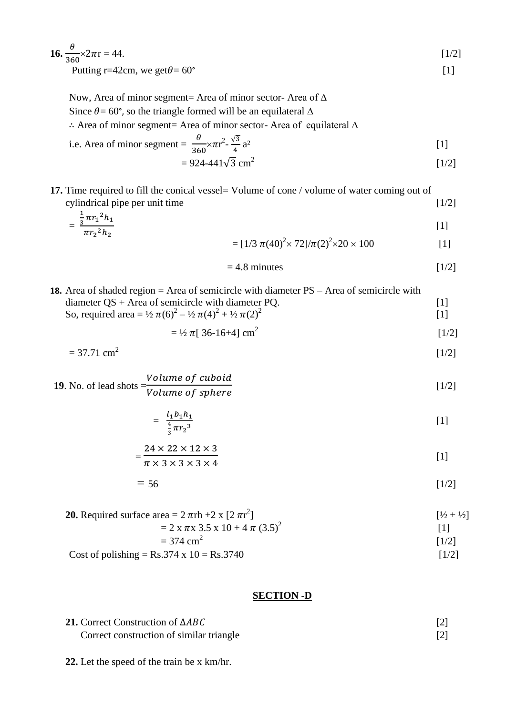| <b>16.</b> $\frac{\theta}{360} \times 2\pi r = 44.$ | $\lceil 1/2 \rceil$ |
|-----------------------------------------------------|---------------------|
| Putting r=42cm, we get $\theta$ = 60°               |                     |

Now, Area of minor segment= Area of minor sector- Area of ∆

Since  $\theta$  = 60°, so the triangle formed will be an equilateral  $\Delta$ 

Area of minor segment= Area of minor sector- Area of equilateral ∆

i.e. Area of minor segment = 
$$
\frac{\theta}{360} \times \pi r^2 - \frac{\sqrt{3}}{4} a^2
$$
 [1]

$$
= 924 - 441\sqrt{3} \text{ cm}^2 \tag{1/2}
$$

**17.** Time required to fill the conical vessel= Volume of cone / volume of water coming out of cylindrical pipe per unit time  $[1/2]$ 

$$
= \frac{\frac{1}{3}\pi r_1^2 h_1}{\pi r_2^2 h_2}
$$
\n[1]  
\n
$$
= [1/3 \pi (40)^2 \times 72]/\pi (2)^2 \times 20 \times 100
$$
\n[1]

$$
= [1/3 \pi (40)^{2} \times 72]/\pi (2)^{2} \times 20 \times 100
$$
 [1]

$$
= 4.8 \text{ minutes} \tag{1/2}
$$

[1/2]

**18.** Area of shaded region = Area of semicircle with diameter PS – Area of semicircle with diameter  $QS + Area$  of semicircle with diameter  $PQ$ . [1] So, required area =  $\frac{1}{2} \pi (6)^2 - \frac{1}{2} \pi (4)^2 + \frac{1}{2} \pi (2)^2$ [1]

$$
= \frac{1}{2} \pi [36 - 16 + 4] \text{ cm}^2 \tag{1/2}
$$

$$
= 37.71 \text{ cm}^2
$$

**19**. No. of lead shots = V V [1/2]

$$
=\frac{l_1b_1h_1}{\frac{4}{3}\pi r_2^3}\tag{1}
$$

$$
=\frac{24 \times 22 \times 12 \times 3}{\pi \times 3 \times 3 \times 3 \times 4}
$$
 [1]

$$
=56 \tag{1/2}
$$

**20.** Required surface area = 
$$
2 \pi r h + 2 \times [2 \pi r^2]
$$
  $[1/2 + 1/2]$   
\n=  $2 \times \pi \times 3.5 \times 10 + 4 \pi (3.5)^2$  [1]  
\n= 374 cm<sup>2</sup> [1/2]

Cost of polishing =  $Rs.374 \times 10 = Rs.3740$  [1/2]

#### **SECTION -D**

| 21. Correct Construction of $\triangle ABC$ |  |
|---------------------------------------------|--|
| Correct construction of similar triangle    |  |

**22.** Let the speed of the train be x km/hr.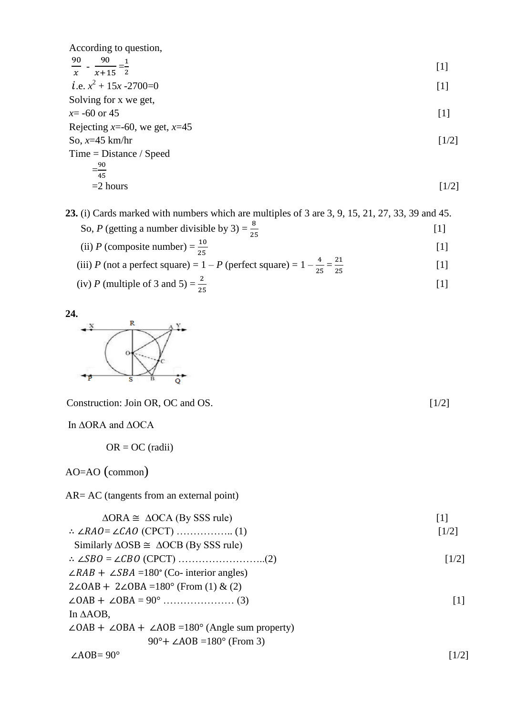According to question,  
\n
$$
\frac{90}{x} - \frac{90}{x+15} = \frac{1}{2}
$$
\ni.e.  $x^2 + 15x - 2700 = 0$  [1]  
\nSolving for x we get,  
\n $x = -60$  or 45  
\nRejecting x=-60, we get, x=45  
\nSo, x=45 km/hr  
\n
$$
= \frac{90}{45}
$$
  
\n
$$
= 2 hours
$$
\n[1/2]

**23.** (i) Cards marked with numbers which are multiples of 3 are 3, 9, 15, 21, 27, 33, 39 and 45. So, *P* (getting a number divisible by 3) =  $\frac{8}{3}$ [1]

(ii) P (composite number) = 
$$
\frac{10}{25}
$$
 [1]

(iii) *P* (not a perfect square) = 1 - *P* (perfect square) = 1 - 
$$
\frac{4}{25} = \frac{21}{25}
$$
 [1]

(iv) P (multiple of 3 and 5) = 
$$
\frac{2}{25}
$$
 [1]



Construction: Join OR, OC and OS. [1/2]

In ∆ORA and ∆OCA

OR = OC (radii)

AO=AO (common)

AR= AC (tangents from an external point)

| $\triangle ORA \cong \triangle OCA$ (By SSS rule)                         | $\lceil 1 \rceil$   |
|---------------------------------------------------------------------------|---------------------|
|                                                                           | $\lceil 1/2 \rceil$ |
| Similarly $\triangle$ OSB $\cong$ $\triangle$ OCB (By SSS rule)           |                     |
|                                                                           | $\lceil 1/2 \rceil$ |
| $\angle RAB + \angle SBA = 180^{\circ}$ (Co- interior angles)             |                     |
| $2\angle OAB + 2\angle OBA = 180^{\circ}$ (From (1) & (2)                 |                     |
|                                                                           | $\lceil 1 \rceil$   |
| In $\triangle AOB$ ,                                                      |                     |
| $\angle OAB + \angle OBA + \angle AOB = 180^{\circ}$ (Angle sum property) |                     |
| 90 $\degree$ + $\angle$ A0B =180 $\degree$ (From 3)                       |                     |
| $\angle AOB = 90^\circ$                                                   | $1/2$ ]             |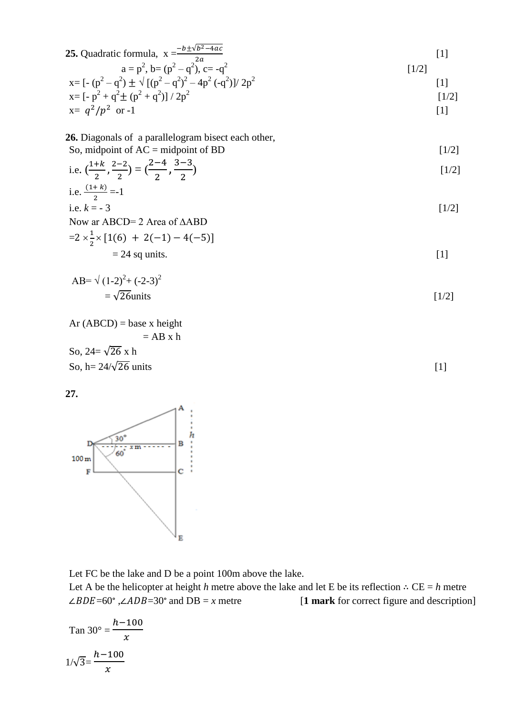**25.** Quadratic formula, 
$$
x = \frac{-b \pm \sqrt{b^2 - 4ac}}{2a}
$$
 [1]  
  $a = p^2$ ,  $b = (p^2 - q^2)$ ,  $c = -q^2$  [1/2]

$$
x = [- (p2 - q2) \pm \sqrt{[(p2 - q2)2 - 4p2 (-q2)]/2p2}
$$
  
\n
$$
x = [-p2 + q2 \pm (p2 + q2)]/2p2
$$
  
\n
$$
x = q2/p2 \text{ or } -1
$$
 [1]

**26.** Diagonals of a parallelogram bisect each other, 
$$
S_2
$$
 midpoint of  $AC = \text{midpoint of PD}$ 

So, midpoint of AC = midpoint of BD  
i.e. 
$$
(\frac{1+k}{2}, \frac{2-2}{2}) = (\frac{2-4}{2}, \frac{3-3}{2})
$$
 [1/2]

i.e. 
$$
\frac{(1+k)}{2} = -1
$$
  
i.e.  $k = -3$  [1/2]

i.e. 
$$
k = -3
$$

Now ar ABCD= 2 Area of ∆ABD  $=2\times\frac{1}{2}$  $\frac{1}{2} \times [1(6) + 2(-1) - 4(-5)]$ 

$$
= 24 \text{ sq units.}
$$

$$
AB = \sqrt{(1-2)^2 + (-2-3)^2}
$$
  
=  $\sqrt{26}$  units [1/2]

Ar (ABCD) = base x height  
= AB x h  
So, 
$$
24 = \sqrt{26} x h
$$
  
So,  $h = 24/\sqrt{26}$  units [1]

**27.**



Let FC be the lake and D be a point 100m above the lake.

Let A be the helicopter at height *h* metre above the lake and let E be its reflection  $\therefore$  CE = *h* metre  $\angle BDE = 60^\circ$ ,  $\angle ADB = 30^\circ$  and  $DB = x$  metre [1 mark for correct figure and description]

$$
\tan 30^\circ = \frac{h - 100}{x}
$$

$$
1/\sqrt{3} = \frac{h - 100}{x}
$$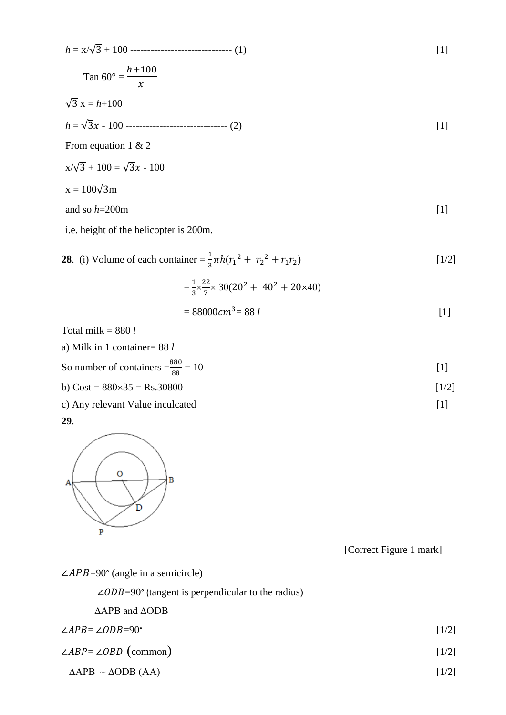$$
h = x/\sqrt{3} + 100
$$
................. (1)  
\n
$$
Tan 60^{\circ} = \frac{h + 100}{x}
$$
  
\n
$$
\sqrt{3} x = h + 100
$$
  
\n
$$
h = \sqrt{3}x - 100
$$
................. (2)  
\nFrom equation 1 & 2  
\n
$$
x/\sqrt{3} + 100 = \sqrt{3}x - 100
$$
  
\n
$$
x = 100\sqrt{3}m
$$
  
\nand so  $h = 200m$  [1]  
\ni.e. height of the helicopter is 200m.

28. (i) Volume of each container = 
$$
\frac{1}{3}\pi h (r_1^2 + r_2^2 + r_1 r_2)
$$
   
 =  $\frac{1}{3} \times \frac{22}{7} \times 30(20^2 + 40^2 + 20 \times 40)$    
 [1/2]

$$
= 88000 \, \text{cm}^3 = 88 \, \text{l} \tag{1}
$$

Total milk = 880 *l*

a) 
$$
Milk
$$
 in 1 container = 88  $l$ 

So number of containers  $=\frac{88}{8}$  $= 10$  [1]

b) Cost =  $880 \times 35 =$  Rs.30800 [1/2]

c) Any relevant Value inculcated [1]

**29**.



[Correct Figure 1 mark]

 $\angle APB = 90^\circ$  (angle in a semicircle)

|  |  | $\angle ODB = 90^{\circ}$ (tangent is perpendicular to the radius) |  |  |  |
|--|--|--------------------------------------------------------------------|--|--|--|
|--|--|--------------------------------------------------------------------|--|--|--|

∆APB and ∆ODB

$$
\angle APB = \angle ODB = 90^{\circ}
$$
 [1/2]

$$
\angle ABP = \angle OBD \text{ (common)} \tag{1/2}
$$

$$
\Delta APB \sim \Delta ODB (AA) \tag{1/2}
$$